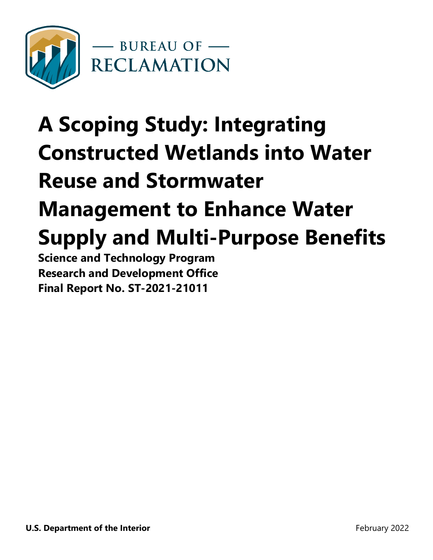

# **A Scoping Study: Integrating Constructed Wetlands into Water Reuse and Stormwater Management to Enhance Water Supply and Multi-Purpose Benefits**

**Science and Technology Program Research and Development Office Final Report No. ST-2021-21011**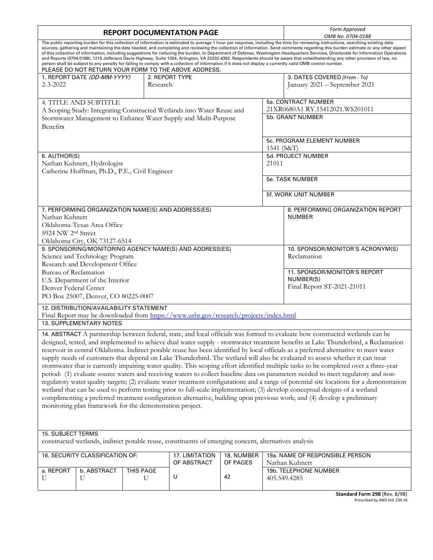| <b>REPORT DOCUMENTATION PAGE</b>                                                                                                                                                                                                                                                                                                                                                                                                                                                                                                                                                                                                                                                                                                                                                                                                                                                                                                                                                                                                                                                                                                                                                                                                                                                               |                                                           |                |                                                                                                       |                        | Form Approved<br>OMB No. 0704-0188                                                                                         |                                                                            |  |
|------------------------------------------------------------------------------------------------------------------------------------------------------------------------------------------------------------------------------------------------------------------------------------------------------------------------------------------------------------------------------------------------------------------------------------------------------------------------------------------------------------------------------------------------------------------------------------------------------------------------------------------------------------------------------------------------------------------------------------------------------------------------------------------------------------------------------------------------------------------------------------------------------------------------------------------------------------------------------------------------------------------------------------------------------------------------------------------------------------------------------------------------------------------------------------------------------------------------------------------------------------------------------------------------|-----------------------------------------------------------|----------------|-------------------------------------------------------------------------------------------------------|------------------------|----------------------------------------------------------------------------------------------------------------------------|----------------------------------------------------------------------------|--|
| The public reporting burden for this collection of information is estimated to average 1 hour per response, including the time for reviewing instructions, searching existing data<br>sources, gathering and maintaining the data needed, and completing and reviewing the collection of information. Send comments regarding this burden estimate or any other aspect<br>of this collection of information, including suggestions for reducing the burden, to Department of Defense, Washington Headquarters Services, Directorate for Information Operations<br>and Reports (0704-0188), 1215 Jefferson Davis Highway, Suite 1204, Arlington, VA 22202-4302. Respondents should be aware that notwithstanding any other provision of law, no<br>person shall be subject to any penalty for failing to comply with a collection of information if it does not display a currently valid OMB control number.<br>PLEASE DO NOT RETURN YOUR FORM TO THE ABOVE ADDRESS.                                                                                                                                                                                                                                                                                                                           |                                                           |                |                                                                                                       |                        |                                                                                                                            |                                                                            |  |
| $2 - 3 - 2022$                                                                                                                                                                                                                                                                                                                                                                                                                                                                                                                                                                                                                                                                                                                                                                                                                                                                                                                                                                                                                                                                                                                                                                                                                                                                                 | 1. REPORT DATE (DD-MM-YYYY)<br>2. REPORT TYPE<br>Research |                |                                                                                                       |                        | 3. DATES COVERED (From - To)<br>January 2021 - September 2021                                                              |                                                                            |  |
| <b>4. TITLE AND SUBTITLE</b><br>A Scoping Study: Integrating Constructed Wetlands into Water Reuse and<br>Stormwater Management to Enhance Water Supply and Multi-Purpose<br>Benefits                                                                                                                                                                                                                                                                                                                                                                                                                                                                                                                                                                                                                                                                                                                                                                                                                                                                                                                                                                                                                                                                                                          |                                                           |                |                                                                                                       |                        |                                                                                                                            | 5a. CONTRACT NUMBER<br>21XR0680A1 RY.15412021.WS201011<br>5b. GRANT NUMBER |  |
| 6. AUTHOR(S)<br>Nathan Kuhnert, Hydrologist<br>Catherine Hoffman, Ph.D., P.E., Civil Engineer                                                                                                                                                                                                                                                                                                                                                                                                                                                                                                                                                                                                                                                                                                                                                                                                                                                                                                                                                                                                                                                                                                                                                                                                  |                                                           |                |                                                                                                       |                        | 1541 (S&T)<br>21011                                                                                                        | 5c. PROGRAM ELEMENT NUMBER<br>5d. PROJECT NUMBER                           |  |
|                                                                                                                                                                                                                                                                                                                                                                                                                                                                                                                                                                                                                                                                                                                                                                                                                                                                                                                                                                                                                                                                                                                                                                                                                                                                                                |                                                           |                |                                                                                                       |                        | 5e. TASK NUMBER<br>5f. WORK UNIT NUMBER                                                                                    |                                                                            |  |
| 7. PERFORMING ORGANIZATION NAME(S) AND ADDRESS(ES)<br><b>NUMBER</b><br>Nathan Kuhnert<br>Oklahoma-Texas Area Office<br>5924 NW 2nd Street<br>Oklahoma City, OK 73127-6514                                                                                                                                                                                                                                                                                                                                                                                                                                                                                                                                                                                                                                                                                                                                                                                                                                                                                                                                                                                                                                                                                                                      |                                                           |                |                                                                                                       |                        |                                                                                                                            | 8. PERFORMING ORGANIZATION REPORT                                          |  |
| 9. SPONSORING/MONITORING AGENCY NAME(S) AND ADDRESS(ES)<br>Science and Technology Program<br>Research and Development Office<br>Bureau of Reclamation<br>U.S. Department of the Interior<br>Denver Federal Center<br>PO Box 25007, Denver, CO 80225-0007<br>12. DISTRIBUTION/AVAILABILITY STATEMENT                                                                                                                                                                                                                                                                                                                                                                                                                                                                                                                                                                                                                                                                                                                                                                                                                                                                                                                                                                                            |                                                           |                |                                                                                                       |                        | 10. SPONSOR/MONITOR'S ACRONYM(S)<br>Reclamation<br>11. SPONSOR/MONITOR'S REPORT<br>NUMBER(S)<br>Final Report ST-2021-21011 |                                                                            |  |
|                                                                                                                                                                                                                                                                                                                                                                                                                                                                                                                                                                                                                                                                                                                                                                                                                                                                                                                                                                                                                                                                                                                                                                                                                                                                                                | 13. SUPPLEMENTARY NOTES                                   |                | Final Report may be downloaded from https://www.usbr.gov/research/projects/index.html                 |                        |                                                                                                                            |                                                                            |  |
| 14. ABSTRACT A partnership between federal, state, and local officials was formed to evaluate how constructed wetlands can be<br>designed, tested, and implemented to achieve dual water supply - stormwater treatment benefits at Lake Thunderbird, a Reclamation<br>reservoir in central Oklahoma. Indirect potable reuse has been identified by local officials as a preferred alternative to meet water<br>supply needs of customers that depend on Lake Thunderbird. The wetland will also be evaluated to assess whether it can treat<br>stormwater that is currently impairing water quality. This scoping effort identified multiple tasks to be completed over a three-year<br>period: (1) evaluate source waters and receiving waters to collect baseline data on parameters needed to meet regulatory and non-<br>regulatory water quality targets; (2) evaluate water treatment configurations and a range of potential site locations for a demonstration<br>wetland that can be used to perform testing prior to full-scale implementation; (3) develop conceptual designs of a wetland<br>complimenting a preferred treatment configuration alternative, building upon previous work; and (4) develop a preliminary<br>monitoring plan framework for the demonstration project. |                                                           |                |                                                                                                       |                        |                                                                                                                            |                                                                            |  |
| <b>15. SUBJECT TERMS</b>                                                                                                                                                                                                                                                                                                                                                                                                                                                                                                                                                                                                                                                                                                                                                                                                                                                                                                                                                                                                                                                                                                                                                                                                                                                                       |                                                           |                | constructed wetlands, indirect potable reuse, constituents of emerging concern, alternatives analysis |                        |                                                                                                                            |                                                                            |  |
|                                                                                                                                                                                                                                                                                                                                                                                                                                                                                                                                                                                                                                                                                                                                                                                                                                                                                                                                                                                                                                                                                                                                                                                                                                                                                                | 16. SECURITY CLASSIFICATION OF:                           |                | 17. LIMITATION<br>OF ABSTRACT                                                                         | 18. NUMBER<br>OF PAGES |                                                                                                                            | 19a. NAME OF RESPONSIBLE PERSON<br>Nathan Kuhnert                          |  |
| a. REPORT<br>U                                                                                                                                                                                                                                                                                                                                                                                                                                                                                                                                                                                                                                                                                                                                                                                                                                                                                                                                                                                                                                                                                                                                                                                                                                                                                 | b. ABSTRACT<br>U                                          | THIS PAGE<br>U | U                                                                                                     | 42                     |                                                                                                                            | 19b. TELEPHONE NUMBER<br>405.549.4285                                      |  |
|                                                                                                                                                                                                                                                                                                                                                                                                                                                                                                                                                                                                                                                                                                                                                                                                                                                                                                                                                                                                                                                                                                                                                                                                                                                                                                |                                                           |                |                                                                                                       |                        |                                                                                                                            | Standard Form 298 (Rev. 8/98)<br>Prescribed by ANSI Std. Z39.18            |  |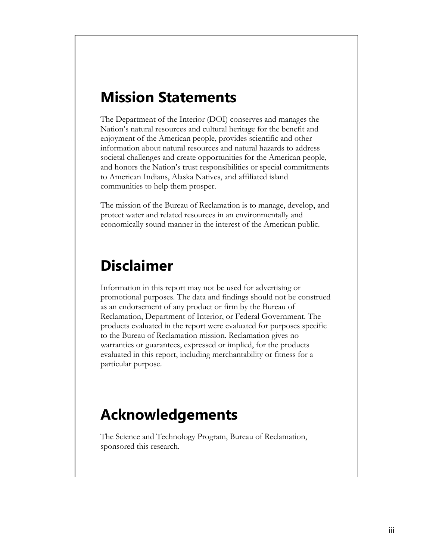### <span id="page-2-0"></span>**Mission Statements**

The Department of the Interior (DOI) conserves and manages the Nation's natural resources and cultural heritage for the benefit and enjoyment of the American people, provides scientific and other information about natural resources and natural hazards to address societal challenges and create opportunities for the American people, and honors the Nation's trust responsibilities or special commitments to American Indians, Alaska Natives, and affiliated island communities to help them prosper.

<span id="page-2-1"></span>The mission of the Bureau of Reclamation is to manage, develop, and protect water and related resources in an environmentally and economically sound manner in the interest of the American public.

## **Disclaimer**

Information in this report may not be used for advertising or promotional purposes. The data and findings should not be construed as an endorsement of any product or firm by the Bureau of Reclamation, Department of Interior, or Federal Government. The products evaluated in the report were evaluated for purposes specific to the Bureau of Reclamation mission. Reclamation gives no warranties or guarantees, expressed or implied, for the products evaluated in this report, including merchantability or fitness for a particular purpose.

# <span id="page-2-2"></span>**Acknowledgements**

The Science and Technology Program, Bureau of Reclamation, sponsored this research.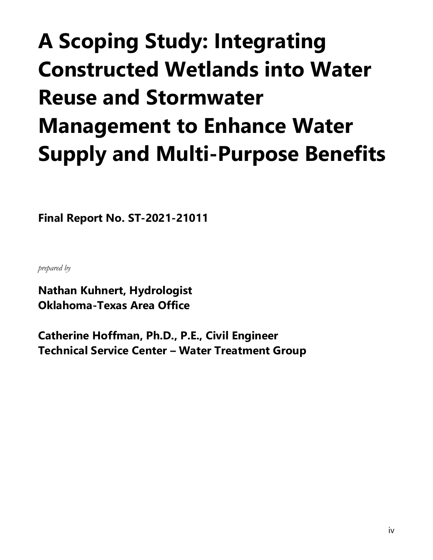# **A Scoping Study: Integrating Constructed Wetlands into Water Reuse and Stormwater Management to Enhance Water Supply and Multi-Purpose Benefits**

**Final Report No. ST-2021-21011**

*prepared by* 

**Nathan Kuhnert, Hydrologist Oklahoma-Texas Area Office**

**Catherine Hoffman, Ph.D., P.E., Civil Engineer Technical Service Center – Water Treatment Group**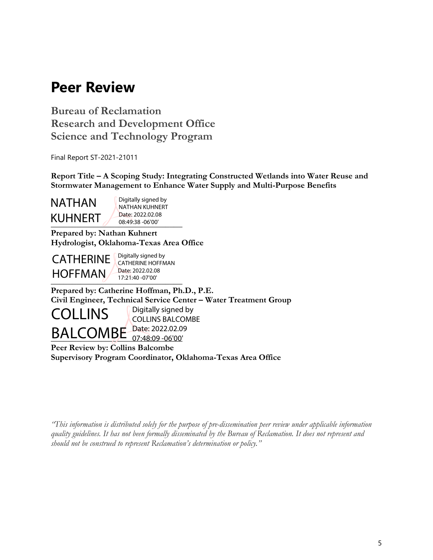# <span id="page-4-0"></span>**Peer Review**

**Bureau of Reclamation Research and Development Office Science and Technology Program**

Final Report ST-2021-21011

**Report Title – A Scoping Study: Integrating Constructed Wetlands into Water Reuse and Stormwater Management to Enhance Water Supply and Multi-Purpose Benefits**

NATHAN KUHNERT

**\_\_\_\_\_\_\_\_\_\_\_\_\_\_\_\_\_\_\_\_\_\_\_\_\_\_\_\_\_\_\_** 08:49:38 -06'00' Digitally signed by NATHAN KUHNERT Date: 2022.02.08

**Prepared by: Nathan Kuhnert Hydrologist, Oklahoma-Texas Area Office**



 $\frac{17.21:40-0700}{200}$ Digitally signed by CATHERINE HOFFMAN Date: 2022.02.08 17:21:40 -07'00'

**Prepared by: Catherine Hoffman, Ph.D., P.E. Civil Engineer, Technical Service Center – Water Treatment Group**



Digitally signed by COLLINS BALCOMBE

**Peer Review by: Collins Balcombe Supervisory Program Coordinator, Oklahoma-Texas Area Office** 07:48:09 -06'00'

*"This information is distributed solely for the purpose of pre-dissemination peer review under applicable information quality guidelines. It has not been formally disseminated by the Bureau of Reclamation. It does not represent and should not be construed to represent Reclamation's determination or policy."*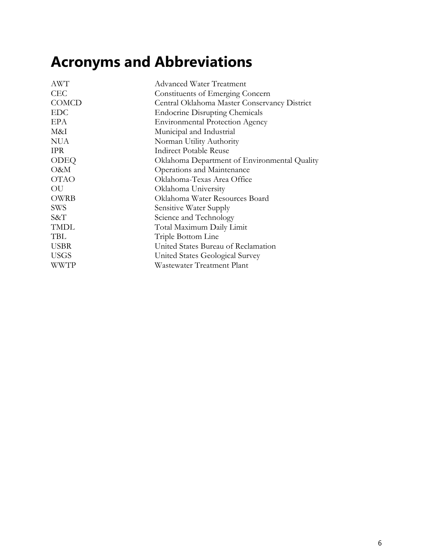# <span id="page-5-0"></span>**Acronyms and Abbreviations**

| AWT          | <b>Advanced Water Treatment</b>              |
|--------------|----------------------------------------------|
| <b>CEC</b>   | Constituents of Emerging Concern             |
| <b>COMCD</b> | Central Oklahoma Master Conservancy District |
| <b>EDC</b>   | <b>Endocrine Disrupting Chemicals</b>        |
| EPA          | <b>Environmental Protection Agency</b>       |
| M&I          | Municipal and Industrial                     |
| <b>NUA</b>   | Norman Utility Authority                     |
| <b>IPR</b>   | <b>Indirect Potable Reuse</b>                |
| <b>ODEQ</b>  | Oklahoma Department of Environmental Quality |
| O&M          | Operations and Maintenance                   |
| <b>OTAO</b>  | Oklahoma-Texas Area Office                   |
| OU           | Oklahoma University                          |
| OWRB         | Oklahoma Water Resources Board               |
| <b>SWS</b>   | Sensitive Water Supply                       |
| S&T          | Science and Technology                       |
| <b>TMDL</b>  | Total Maximum Daily Limit                    |
| TBL          | Triple Bottom Line                           |
| <b>USBR</b>  | United States Bureau of Reclamation          |
| <b>USGS</b>  | United States Geological Survey              |
| WWTP         | Wastewater Treatment Plant                   |
|              |                                              |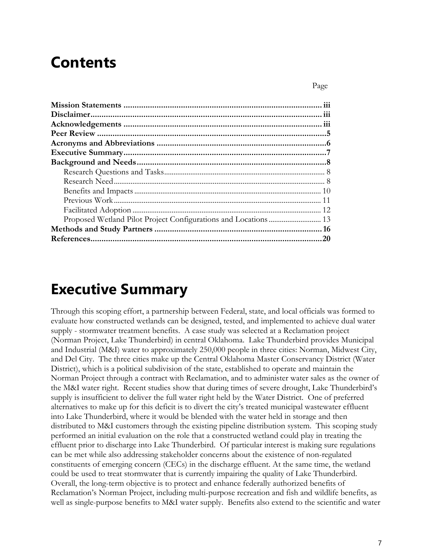# **Contents**

Page

# <span id="page-6-0"></span>**Executive Summary**

Through this scoping effort, a partnership between Federal, state, and local officials was formed to evaluate how constructed wetlands can be designed, tested, and implemented to achieve dual water supply - stormwater treatment benefits. A case study was selected at a Reclamation project (Norman Project, Lake Thunderbird) in central Oklahoma. Lake Thunderbird provides Municipal and Industrial (M&I) water to approximately 250,000 people in three cities: Norman, Midwest City, and Del City. The three cities make up the Central Oklahoma Master Conservancy District (Water District), which is a political subdivision of the state, established to operate and maintain the Norman Project through a contract with Reclamation, and to administer water sales as the owner of the M&I water right. Recent studies show that during times of severe drought, Lake Thunderbird's supply is insufficient to deliver the full water right held by the Water District. One of preferred alternatives to make up for this deficit is to divert the city's treated municipal wastewater effluent into Lake Thunderbird, where it would be blended with the water held in storage and then distributed to M&I customers through the existing pipeline distribution system. This scoping study performed an initial evaluation on the role that a constructed wetland could play in treating the effluent prior to discharge into Lake Thunderbird. Of particular interest is making sure regulations can be met while also addressing stakeholder concerns about the existence of non-regulated constituents of emerging concern (CECs) in the discharge effluent. At the same time, the wetland could be used to treat stormwater that is currently impairing the quality of Lake Thunderbird. Overall, the long-term objective is to protect and enhance federally authorized benefits of Reclamation's Norman Project, including multi-purpose recreation and fish and wildlife benefits, as well as single-purpose benefits to M&I water supply. Benefits also extend to the scientific and water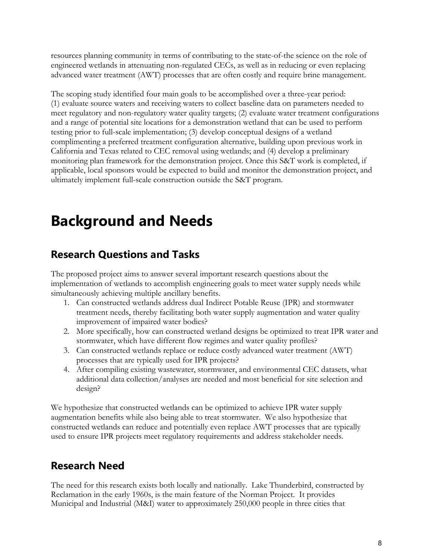resources planning community in terms of contributing to the state-of-the science on the role of engineered wetlands in attenuating non-regulated CECs, as well as in reducing or even replacing advanced water treatment (AWT) processes that are often costly and require brine management.

The scoping study identified four main goals to be accomplished over a three-year period: (1) evaluate source waters and receiving waters to collect baseline data on parameters needed to meet regulatory and non-regulatory water quality targets; (2) evaluate water treatment configurations and a range of potential site locations for a demonstration wetland that can be used to perform testing prior to full-scale implementation; (3) develop conceptual designs of a wetland complimenting a preferred treatment configuration alternative, building upon previous work in California and Texas related to CEC removal using wetlands; and (4) develop a preliminary monitoring plan framework for the demonstration project. Once this S&T work is completed, if applicable, local sponsors would be expected to build and monitor the demonstration project, and ultimately implement full-scale construction outside the S&T program.

# <span id="page-7-0"></span>**Background and Needs**

### <span id="page-7-1"></span>**Research Questions and Tasks**

The proposed project aims to answer several important research questions about the implementation of wetlands to accomplish engineering goals to meet water supply needs while simultaneously achieving multiple ancillary benefits.

- 1. Can constructed wetlands address dual Indirect Potable Reuse (IPR) and stormwater treatment needs, thereby facilitating both water supply augmentation and water quality improvement of impaired water bodies?
- 2. More specifically, how can constructed wetland designs be optimized to treat IPR water and stormwater, which have different flow regimes and water quality profiles?
- 3. Can constructed wetlands replace or reduce costly advanced water treatment (AWT) processes that are typically used for IPR projects?
- 4. After compiling existing wastewater, stormwater, and environmental CEC datasets, what additional data collection/analyses are needed and most beneficial for site selection and design?

We hypothesize that constructed wetlands can be optimized to achieve IPR water supply augmentation benefits while also being able to treat stormwater. We also hypothesize that constructed wetlands can reduce and potentially even replace AWT processes that are typically used to ensure IPR projects meet regulatory requirements and address stakeholder needs.

### <span id="page-7-2"></span>**Research Need**

The need for this research exists both locally and nationally. Lake Thunderbird, constructed by Reclamation in the early 1960s, is the main feature of the Norman Project. It provides Municipal and Industrial (M&I) water to approximately 250,000 people in three cities that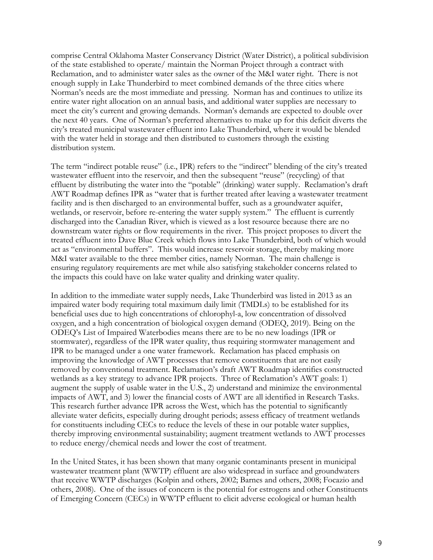comprise Central Oklahoma Master Conservancy District (Water District), a political subdivision of the state established to operate/ maintain the Norman Project through a contract with Reclamation, and to administer water sales as the owner of the M&I water right. There is not enough supply in Lake Thunderbird to meet combined demands of the three cities where Norman's needs are the most immediate and pressing. Norman has and continues to utilize its entire water right allocation on an annual basis, and additional water supplies are necessary to meet the city's current and growing demands. Norman's demands are expected to double over the next 40 years. One of Norman's preferred alternatives to make up for this deficit diverts the city's treated municipal wastewater effluent into Lake Thunderbird, where it would be blended with the water held in storage and then distributed to customers through the existing distribution system.

The term "indirect potable reuse" (i.e., IPR) refers to the "indirect" blending of the city's treated wastewater effluent into the reservoir, and then the subsequent "reuse" (recycling) of that effluent by distributing the water into the "potable" (drinking) water supply. Reclamation's draft AWT Roadmap defines IPR as "water that is further treated after leaving a wastewater treatment facility and is then discharged to an environmental buffer, such as a groundwater aquifer, wetlands, or reservoir, before re-entering the water supply system." The effluent is currently discharged into the Canadian River, which is viewed as a lost resource because there are no downstream water rights or flow requirements in the river. This project proposes to divert the treated effluent into Dave Blue Creek which flows into Lake Thunderbird, both of which would act as "environmental buffers". This would increase reservoir storage, thereby making more M&I water available to the three member cities, namely Norman. The main challenge is ensuring regulatory requirements are met while also satisfying stakeholder concerns related to the impacts this could have on lake water quality and drinking water quality.

In addition to the immediate water supply needs, Lake Thunderbird was listed in 2013 as an impaired water body requiring total maximum daily limit (TMDLs) to be established for its beneficial uses due to high concentrations of chlorophyl-a, low concentration of dissolved oxygen, and a high concentration of biological oxygen demand (ODEQ, 2019). Being on the ODEQ's List of Impaired Waterbodies means there are to be no new loadings (IPR or stormwater), regardless of the IPR water quality, thus requiring stormwater management and IPR to be managed under a one water framework. Reclamation has placed emphasis on improving the knowledge of AWT processes that remove constituents that are not easily removed by conventional treatment. Reclamation's draft AWT Roadmap identifies constructed wetlands as a key strategy to advance IPR projects. Three of Reclamation's AWT goals: 1) augment the supply of usable water in the U.S., 2) understand and minimize the environmental impacts of AWT, and 3) lower the financial costs of AWT are all identified in Research Tasks. This research further advance IPR across the West, which has the potential to significantly alleviate water deficits, especially during drought periods; assess efficacy of treatment wetlands for constituents including CECs to reduce the levels of these in our potable water supplies, thereby improving environmental sustainability; augment treatment wetlands to AWT processes to reduce energy/chemical needs and lower the cost of treatment.

In the United States, it has been shown that many organic contaminants present in municipal wastewater treatment plant (WWTP) effluent are also widespread in surface and groundwaters that receive WWTP discharges (Kolpin and others, 2002; Barnes and others, 2008; Focazio and others, 2008). One of the issues of concern is the potential for estrogens and other Constituents of Emerging Concern (CECs) in WWTP effluent to elicit adverse ecological or human health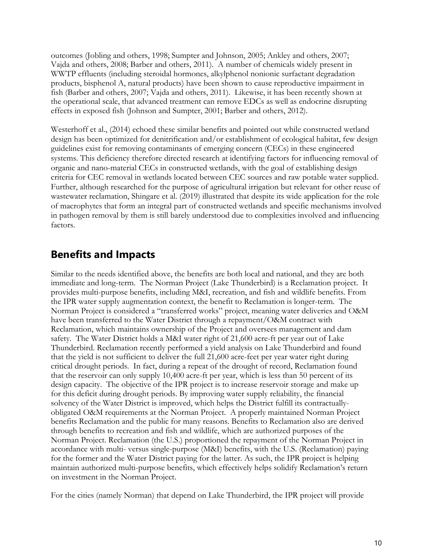outcomes (Jobling and others, 1998; Sumpter and Johnson, 2005; Ankley and others, 2007; Vajda and others, 2008; Barber and others, 2011). A number of chemicals widely present in WWTP effluents (including steroidal hormones, alkylphenol nonionic surfactant degradation products, bisphenol A, natural products) have been shown to cause reproductive impairment in fish (Barber and others, 2007; Vajda and others, 2011). Likewise, it has been recently shown at the operational scale, that advanced treatment can remove EDCs as well as endocrine disrupting effects in exposed fish (Johnson and Sumpter, 2001; Barber and others, 2012).

Westerhoff et al., (2014) echoed these similar benefits and pointed out while constructed wetland design has been optimized for denitrification and/or establishment of ecological habitat, few design guidelines exist for removing contaminants of emerging concern (CECs) in these engineered systems. This deficiency therefore directed research at identifying factors for influencing removal of organic and nano-material CECs in constructed wetlands, with the goal of establishing design criteria for CEC removal in wetlands located between CEC sources and raw potable water supplied. Further, although researched for the purpose of agricultural irrigation but relevant for other reuse of wastewater reclamation, Shingare et al. (2019) illustrated that despite its wide application for the role of macrophytes that form an integral part of constructed wetlands and specific mechanisms involved in pathogen removal by them is still barely understood due to complexities involved and influencing factors.

### <span id="page-9-0"></span>**Benefits and Impacts**

Similar to the needs identified above, the benefits are both local and national, and they are both immediate and long-term. The Norman Project (Lake Thunderbird) is a Reclamation project. It provides multi-purpose benefits, including M&I, recreation, and fish and wildlife benefits. From the IPR water supply augmentation context, the benefit to Reclamation is longer-term. The Norman Project is considered a "transferred works" project, meaning water deliveries and O&M have been transferred to the Water District through a repayment/O&M contract with Reclamation, which maintains ownership of the Project and oversees management and dam safety. The Water District holds a M&I water right of 21,600 acre-ft per year out of Lake Thunderbird. Reclamation recently performed a yield analysis on Lake Thunderbird and found that the yield is not sufficient to deliver the full 21,600 acre-feet per year water right during critical drought periods. In fact, during a repeat of the drought of record, Reclamation found that the reservoir can only supply 10,400 acre-ft per year, which is less than 50 percent of its design capacity. The objective of the IPR project is to increase reservoir storage and make up for this deficit during drought periods. By improving water supply reliability, the financial solvency of the Water District is improved, which helps the District fulfill its contractuallyobligated O&M requirements at the Norman Project. A properly maintained Norman Project benefits Reclamation and the public for many reasons. Benefits to Reclamation also are derived through benefits to recreation and fish and wildlife, which are authorized purposes of the Norman Project. Reclamation (the U.S.) proportioned the repayment of the Norman Project in accordance with multi- versus single-purpose (M&I) benefits, with the U.S. (Reclamation) paying for the former and the Water District paying for the latter. As such, the IPR project is helping maintain authorized multi-purpose benefits, which effectively helps solidify Reclamation's return on investment in the Norman Project.

For the cities (namely Norman) that depend on Lake Thunderbird, the IPR project will provide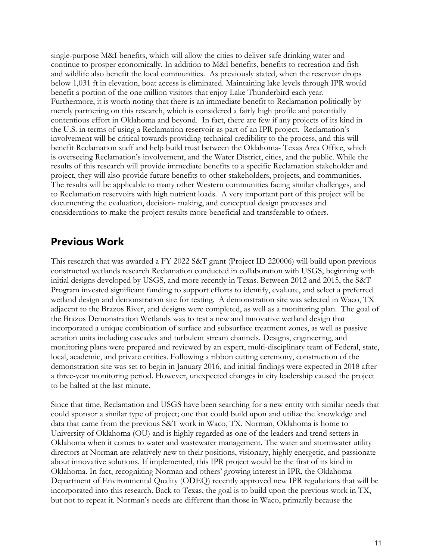single-purpose M&I benefits, which will allow the cities to deliver safe drinking water and continue to prosper economically. In addition to M&I benefits, benefits to recreation and fish and wildlife also benefit the local communities. As previously stated, when the reservoir drops below 1,031 ft in elevation, boat access is eliminated. Maintaining lake levels through IPR would benefit a portion of the one million visitors that enjoy Lake Thunderbird each year. Furthermore, it is worth noting that there is an immediate benefit to Reclamation politically by merely partnering on this research, which is considered a fairly high profile and potentially contentious effort in Oklahoma and beyond. In fact, there are few if any projects of its kind in the U.S. in terms of using a Reclamation reservoir as part of an IPR project. Reclamation's involvement will be critical towards providing technical credibility to the process, and this will benefit Reclamation staff and help build trust between the Oklahoma- Texas Area Office, which is overseeing Reclamation's involvement, and the Water District, cities, and the public. While the results of this research will provide immediate benefits to a specific Reclamation stakeholder and project, they will also provide future benefits to other stakeholders, projects, and communities. The results will be applicable to many other Western communities facing similar challenges, and to Reclamation reservoirs with high nutrient loads. A very important part of this project will be documenting the evaluation, decision- making, and conceptual design processes and considerations to make the project results more beneficial and transferable to others.

#### <span id="page-10-0"></span>**Previous Work**

This research that was awarded a FY 2022 S&T grant (Project ID 220006) will build upon previous constructed wetlands research Reclamation conducted in collaboration with USGS, beginning with initial designs developed by USGS, and more recently in Texas. Between 2012 and 2015, the S&T Program invested significant funding to support efforts to identify, evaluate, and select a preferred wetland design and demonstration site for testing. A demonstration site was selected in Waco, TX adjacent to the Brazos River, and designs were completed, as well as a monitoring plan. The goal of the Brazos Demonstration Wetlands was to test a new and innovative wetland design that incorporated a unique combination of surface and subsurface treatment zones, as well as passive aeration units including cascades and turbulent stream channels. Designs, engineering, and monitoring plans were prepared and reviewed by an expert, multi-disciplinary team of Federal, state, local, academic, and private entities. Following a ribbon cutting ceremony, construction of the demonstration site was set to begin in January 2016, and initial findings were expected in 2018 after a three-year monitoring period. However, unexpected changes in city leadership caused the project to be halted at the last minute.

Since that time, Reclamation and USGS have been searching for a new entity with similar needs that could sponsor a similar type of project; one that could build upon and utilize the knowledge and data that came from the previous S&T work in Waco, TX. Norman, Oklahoma is home to University of Oklahoma (OU) and is highly regarded as one of the leaders and trend setters in Oklahoma when it comes to water and wastewater management. The water and stormwater utility directors at Norman are relatively new to their positions, visionary, highly energetic, and passionate about innovative solutions. If implemented, this IPR project would be the first of its kind in Oklahoma. In fact, recognizing Norman and others' growing interest in IPR, the Oklahoma Department of Environmental Quality (ODEQ) recently approved new IPR regulations that will be incorporated into this research. Back to Texas, the goal is to build upon the previous work in TX, but not to repeat it. Norman's needs are different than those in Waco, primarily because the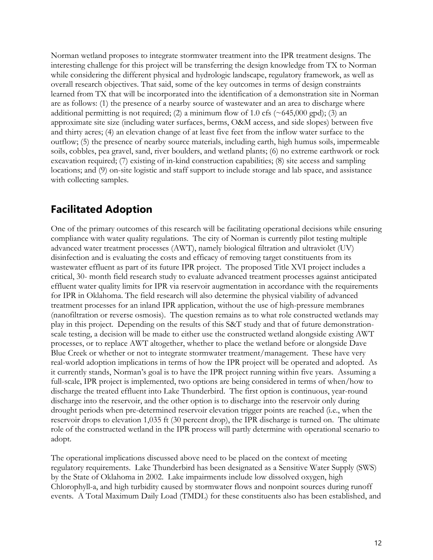Norman wetland proposes to integrate stormwater treatment into the IPR treatment designs. The interesting challenge for this project will be transferring the design knowledge from TX to Norman while considering the different physical and hydrologic landscape, regulatory framework, as well as overall research objectives. That said, some of the key outcomes in terms of design constraints learned from TX that will be incorporated into the identification of a demonstration site in Norman are as follows: (1) the presence of a nearby source of wastewater and an area to discharge where additional permitting is not required; (2) a minimum flow of 1.0 cfs ( $\sim$  645,000 gpd); (3) an approximate site size (including water surfaces, berms, O&M access, and side slopes) between five and thirty acres; (4) an elevation change of at least five feet from the inflow water surface to the outflow; (5) the presence of nearby source materials, including earth, high humus soils, impermeable soils, cobbles, pea gravel, sand, river boulders, and wetland plants; (6) no extreme earthwork or rock excavation required; (7) existing of in-kind construction capabilities; (8) site access and sampling locations; and (9) on-site logistic and staff support to include storage and lab space, and assistance with collecting samples.

### <span id="page-11-0"></span>**Facilitated Adoption**

One of the primary outcomes of this research will be facilitating operational decisions while ensuring compliance with water quality regulations. The city of Norman is currently pilot testing multiple advanced water treatment processes (AWT), namely biological filtration and ultraviolet (UV) disinfection and is evaluating the costs and efficacy of removing target constituents from its wastewater effluent as part of its future IPR project. The proposed Title XVI project includes a critical, 30- month field research study to evaluate advanced treatment processes against anticipated effluent water quality limits for IPR via reservoir augmentation in accordance with the requirements for IPR in Oklahoma. The field research will also determine the physical viability of advanced treatment processes for an inland IPR application, without the use of high-pressure membranes (nanofiltration or reverse osmosis). The question remains as to what role constructed wetlands may play in this project. Depending on the results of this S&T study and that of future demonstrationscale testing, a decision will be made to either use the constructed wetland alongside existing AWT processes, or to replace AWT altogether, whether to place the wetland before or alongside Dave Blue Creek or whether or not to integrate stormwater treatment/management. These have very real-world adoption implications in terms of how the IPR project will be operated and adopted. As it currently stands, Norman's goal is to have the IPR project running within five years. Assuming a full-scale, IPR project is implemented, two options are being considered in terms of when/how to discharge the treated effluent into Lake Thunderbird. The first option is continuous, year-round discharge into the reservoir, and the other option is to discharge into the reservoir only during drought periods when pre-determined reservoir elevation trigger points are reached (i.e., when the reservoir drops to elevation 1,035 ft (30 percent drop), the IPR discharge is turned on. The ultimate role of the constructed wetland in the IPR process will partly determine with operational scenario to adopt.

The operational implications discussed above need to be placed on the context of meeting regulatory requirements. Lake Thunderbird has been designated as a Sensitive Water Supply (SWS) by the State of Oklahoma in 2002. Lake impairments include low dissolved oxygen, high Chlorophyll-a, and high turbidity caused by stormwater flows and nonpoint sources during runoff events. A Total Maximum Daily Load (TMDL) for these constituents also has been established, and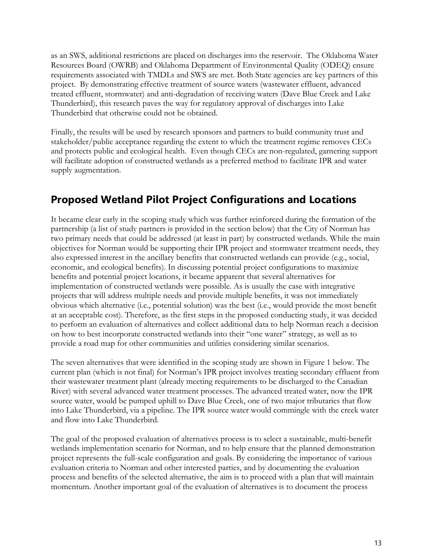as an SWS, additional restrictions are placed on discharges into the reservoir. The Oklahoma Water Resources Board (OWRB) and Oklahoma Department of Environmental Quality (ODEQ) ensure requirements associated with TMDLs and SWS are met. Both State agencies are key partners of this project. By demonstrating effective treatment of source waters (wastewater effluent, advanced treated effluent, stormwater) and anti-degradation of receiving waters (Dave Blue Creek and Lake Thunderbird), this research paves the way for regulatory approval of discharges into Lake Thunderbird that otherwise could not be obtained.

Finally, the results will be used by research sponsors and partners to build community trust and stakeholder/public acceptance regarding the extent to which the treatment regime removes CECs and protects public and ecological health. Even though CECs are non-regulated, garnering support will facilitate adoption of constructed wetlands as a preferred method to facilitate IPR and water supply augmentation.

#### <span id="page-12-0"></span>**Proposed Wetland Pilot Project Configurations and Locations**

It became clear early in the scoping study which was further reinforced during the formation of the partnership (a list of study partners is provided in the section below) that the City of Norman has two primary needs that could be addressed (at least in part) by constructed wetlands. While the main objectives for Norman would be supporting their IPR project and stormwater treatment needs, they also expressed interest in the ancillary benefits that constructed wetlands can provide (e.g., social, economic, and ecological benefits). In discussing potential project configurations to maximize benefits and potential project locations, it became apparent that several alternatives for implementation of constructed wetlands were possible. As is usually the case with integrative projects that will address multiple needs and provide multiple benefits, it was not immediately obvious which alternative (i.e., potential solution) was the best (i.e., would provide the most benefit at an acceptable cost). Therefore, as the first steps in the proposed conducting study, it was decided to perform an evaluation of alternatives and collect additional data to help Norman reach a decision on how to best incorporate constructed wetlands into their "one water" strategy, as well as to provide a road map for other communities and utilities considering similar scenarios.

The seven alternatives that were identified in the scoping study are shown in Figure 1 below. The current plan (which is not final) for Norman's IPR project involves treating secondary effluent from their wastewater treatment plant (already meeting requirements to be discharged to the Canadian River) with several advanced water treatment processes. The advanced treated water, now the IPR source water, would be pumped uphill to Dave Blue Creek, one of two major tributaries that flow into Lake Thunderbird, via a pipeline. The IPR source water would commingle with the creek water and flow into Lake Thunderbird.

The goal of the proposed evaluation of alternatives process is to select a sustainable, multi-benefit wetlands implementation scenario for Norman, and to help ensure that the planned demonstration project represents the full-scale configuration and goals. By considering the importance of various evaluation criteria to Norman and other interested parties, and by documenting the evaluation process and benefits of the selected alternative, the aim is to proceed with a plan that will maintain momentum. Another important goal of the evaluation of alternatives is to document the process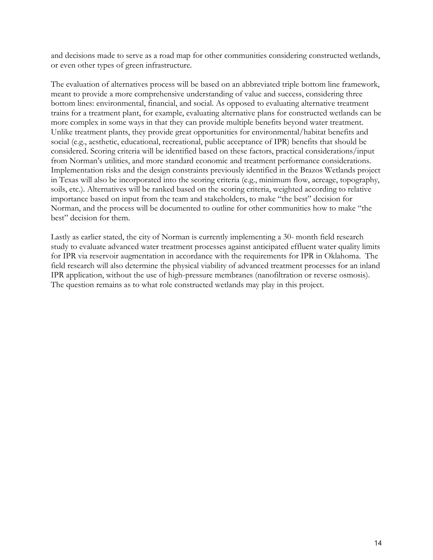and decisions made to serve as a road map for other communities considering constructed wetlands, or even other types of green infrastructure.

The evaluation of alternatives process will be based on an abbreviated triple bottom line framework, meant to provide a more comprehensive understanding of value and success, considering three bottom lines: environmental, financial, and social. As opposed to evaluating alternative treatment trains for a treatment plant, for example, evaluating alternative plans for constructed wetlands can be more complex in some ways in that they can provide multiple benefits beyond water treatment. Unlike treatment plants, they provide great opportunities for environmental/habitat benefits and social (e.g., aesthetic, educational, recreational, public acceptance of IPR) benefits that should be considered. Scoring criteria will be identified based on these factors, practical considerations/input from Norman's utilities, and more standard economic and treatment performance considerations. Implementation risks and the design constraints previously identified in the Brazos Wetlands project in Texas will also be incorporated into the scoring criteria (e.g., minimum flow, acreage, topography, soils, etc.). Alternatives will be ranked based on the scoring criteria, weighted according to relative importance based on input from the team and stakeholders, to make "the best" decision for Norman, and the process will be documented to outline for other communities how to make "the best" decision for them.

Lastly as earlier stated, the city of Norman is currently implementing a 30- month field research study to evaluate advanced water treatment processes against anticipated effluent water quality limits for IPR via reservoir augmentation in accordance with the requirements for IPR in Oklahoma. The field research will also determine the physical viability of advanced treatment processes for an inland IPR application, without the use of high-pressure membranes (nanofiltration or reverse osmosis). The question remains as to what role constructed wetlands may play in this project.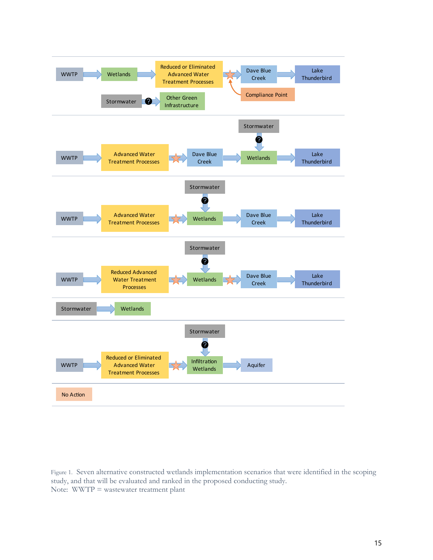

Figure 1. Seven alternative constructed wetlands implementation scenarios that were identified in the scoping study, and that will be evaluated and ranked in the proposed conducting study. Note: WWTP = wastewater treatment plant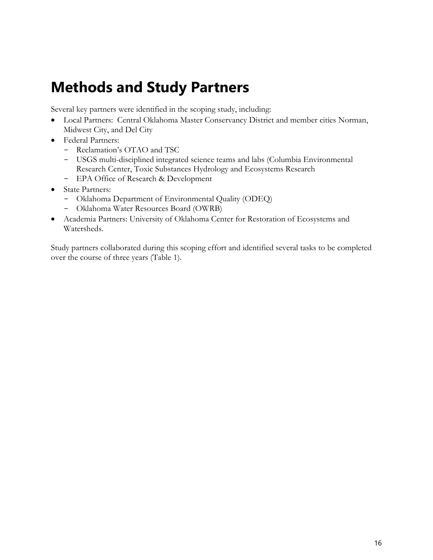# <span id="page-15-0"></span>**Methods and Study Partners**

Several key partners were identified in the scoping study, including:

- Local Partners: Central Oklahoma Master Conservancy District and member cities Norman, Midwest City, and Del City
- Federal Partners:
	- Reclamation's OTAO and TSC
	- USGS multi-disciplined integrated science teams and labs (Columbia Environmental Research Center, Toxic Substances Hydrology and Ecosystems Research
	- EPA Office of Research & Development
- State Partners:
	- Oklahoma Department of Environmental Quality (ODEQ)
	- Oklahoma Water Resources Board (OWRB)
- Academia Partners: University of Oklahoma Center for Restoration of Ecosystems and Watersheds.

Study partners collaborated during this scoping effort and identified several tasks to be completed over the course of three years [\(Table 1\)](#page-16-0).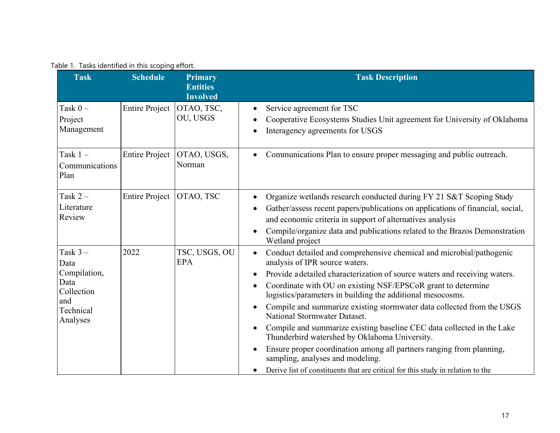| Table 1. Tasks identified in this scoping effort. |  |  |  |  |  |
|---------------------------------------------------|--|--|--|--|--|
|---------------------------------------------------|--|--|--|--|--|

<span id="page-16-0"></span>

| <b>Task</b>                                                                             | <b>Schedule</b>       | <b>Primary</b><br><b>Entities</b><br><b>Involved</b> | <b>Task Description</b>                                                                                                                                                                                                                                                                                                                                                                                                                                                                                                                                                                                                                                                                                                                                             |
|-----------------------------------------------------------------------------------------|-----------------------|------------------------------------------------------|---------------------------------------------------------------------------------------------------------------------------------------------------------------------------------------------------------------------------------------------------------------------------------------------------------------------------------------------------------------------------------------------------------------------------------------------------------------------------------------------------------------------------------------------------------------------------------------------------------------------------------------------------------------------------------------------------------------------------------------------------------------------|
| Task $0 -$<br>Project<br>Management                                                     | <b>Entire Project</b> | OTAO, TSC,<br>OU, USGS                               | Service agreement for TSC<br>$\bullet$<br>Cooperative Ecosystems Studies Unit agreement for University of Oklahoma<br>$\bullet$<br>Interagency agreements for USGS                                                                                                                                                                                                                                                                                                                                                                                                                                                                                                                                                                                                  |
| Task $1 -$<br>Communications<br>Plan                                                    | <b>Entire Project</b> | OTAO, USGS,<br>Norman                                | Communications Plan to ensure proper messaging and public outreach.                                                                                                                                                                                                                                                                                                                                                                                                                                                                                                                                                                                                                                                                                                 |
| Task $2-$<br>Literature<br>Review                                                       | <b>Entire Project</b> | OTAO, TSC                                            | Organize wetlands research conducted during FY 21 S&T Scoping Study<br>Gather/assess recent papers/publications on applications of financial, social,<br>and economic criteria in support of alternatives analysis<br>Compile/organize data and publications related to the Brazos Demonstration<br>Wetland project                                                                                                                                                                                                                                                                                                                                                                                                                                                 |
| Task $3-$<br>Data<br>Compilation,<br>Data<br>Collection<br>and<br>Technical<br>Analyses | 2022                  | TSC, USGS, OU<br><b>EPA</b>                          | Conduct detailed and comprehensive chemical and microbial/pathogenic<br>analysis of IPR source waters.<br>Provide a detailed characterization of source waters and receiving waters.<br>Coordinate with OU on existing NSF/EPSCoR grant to determine<br>logistics/parameters in building the additional mesocosms.<br>Compile and summarize existing stormwater data collected from the USGS<br>National Stormwater Dataset.<br>Compile and summarize existing baseline CEC data collected in the Lake<br>Thunderbird watershed by Oklahoma University.<br>Ensure proper coordination among all partners ranging from planning,<br>sampling, analyses and modeling.<br>Derive list of constituents that are critical for this study in relation to the<br>$\bullet$ |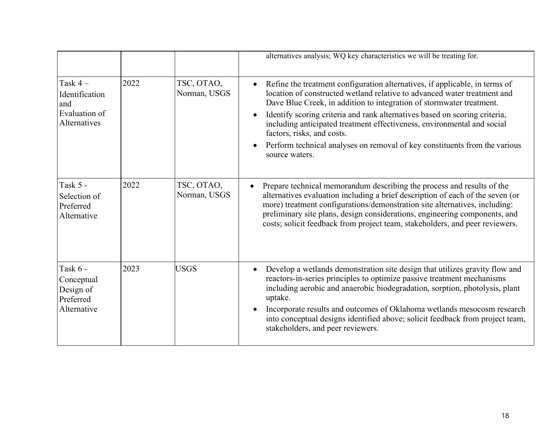|                                                                     |      |                            | alternatives analysis; WQ key characteristics we will be treating for.                                                                                                                                                                                                                                                                                                                                                                                                                                                              |
|---------------------------------------------------------------------|------|----------------------------|-------------------------------------------------------------------------------------------------------------------------------------------------------------------------------------------------------------------------------------------------------------------------------------------------------------------------------------------------------------------------------------------------------------------------------------------------------------------------------------------------------------------------------------|
| Task $4-$<br>Identification<br>and<br>Evaluation of<br>Alternatives | 2022 | TSC, OTAO,<br>Norman, USGS | Refine the treatment configuration alternatives, if applicable, in terms of<br>$\bullet$<br>location of constructed wetland relative to advanced water treatment and<br>Dave Blue Creek, in addition to integration of stormwater treatment.<br>Identify scoring criteria and rank alternatives based on scoring criteria,<br>including anticipated treatment effectiveness, environmental and social<br>factors, risks, and costs.<br>Perform technical analyses on removal of key constituents from the various<br>source waters. |
| Task 5 -<br>Selection of<br>Preferred<br>Alternative                | 2022 | TSC, OTAO,<br>Norman, USGS | Prepare technical memorandum describing the process and results of the<br>$\bullet$<br>alternatives evaluation including a brief description of each of the seven (or<br>more) treatment configurations/demonstration site alternatives, including:<br>preliminary site plans, design considerations, engineering components, and<br>costs; solicit feedback from project team, stakeholders, and peer reviewers.                                                                                                                   |
| Task 6 -<br>Conceptual<br>Design of<br>Preferred<br>Alternative     | 2023 | <b>USGS</b>                | Develop a wetlands demonstration site design that utilizes gravity flow and<br>reactors-in-series principles to optimize passive treatment mechanisms<br>including aerobic and anaerobic biodegradation, sorption, photolysis, plant<br>uptake.<br>Incorporate results and outcomes of Oklahoma wetlands mesocosm research<br>into conceptual designs identified above; solicit feedback from project team,<br>stakeholders, and peer reviewers.                                                                                    |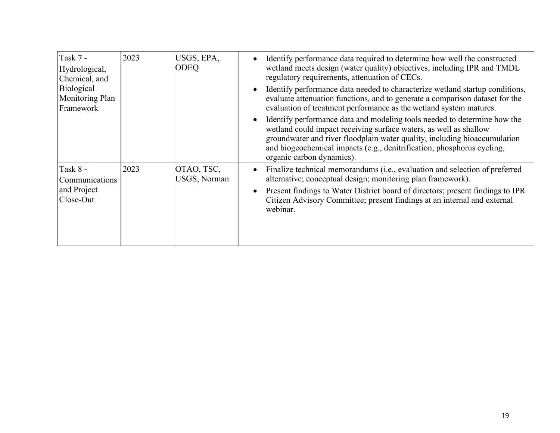| Task 7 -<br>Hydrological,<br>Chemical, and | 2023 | USGS, EPA,<br><b>ODEQ</b>         | Identify performance data required to determine how well the constructed<br>wetland meets design (water quality) objectives, including IPR and TMDL<br>regulatory requirements, attenuation of CECs.                                                                                                                              |
|--------------------------------------------|------|-----------------------------------|-----------------------------------------------------------------------------------------------------------------------------------------------------------------------------------------------------------------------------------------------------------------------------------------------------------------------------------|
| Biological<br>Monitoring Plan<br>Framework |      |                                   | Identify performance data needed to characterize wetland startup conditions,<br>evaluate attenuation functions, and to generate a comparison dataset for the<br>evaluation of treatment performance as the wetland system matures.                                                                                                |
|                                            |      |                                   | Identify performance data and modeling tools needed to determine how the<br>wetland could impact receiving surface waters, as well as shallow<br>groundwater and river floodplain water quality, including bioaccumulation<br>and biogeochemical impacts (e.g., denitrification, phosphorus cycling,<br>organic carbon dynamics). |
| Task 8 -<br>Communications                 | 2023 | OTAO, TSC,<br><b>USGS, Norman</b> | Finalize technical memorandums (i.e., evaluation and selection of preferred<br>$\bullet$<br>alternative; conceptual design; monitoring plan framework).                                                                                                                                                                           |
| and Project<br>Close-Out                   |      |                                   | Present findings to Water District board of directors; present findings to IPR<br>Citizen Advisory Committee; present findings at an internal and external<br>webinar.                                                                                                                                                            |
|                                            |      |                                   |                                                                                                                                                                                                                                                                                                                                   |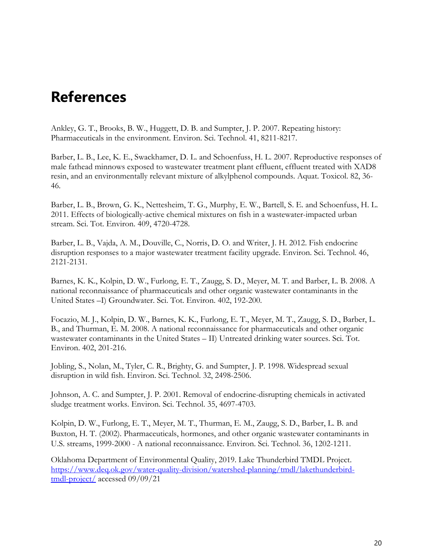## <span id="page-19-0"></span>**References**

Ankley, G. T., Brooks, B. W., Huggett, D. B. and Sumpter, J. P. 2007. Repeating history: Pharmaceuticals in the environment. Environ. Sci. Technol. 41, 8211-8217.

Barber, L. B., Lee, K. E., Swackhamer, D. L. and Schoenfuss, H. L. 2007. Reproductive responses of male fathead minnows exposed to wastewater treatment plant effluent, effluent treated with XAD8 resin, and an environmentally relevant mixture of alkylphenol compounds. Aquat. Toxicol. 82, 36- 46.

Barber, L. B., Brown, G. K., Nettesheim, T. G., Murphy, E. W., Bartell, S. E. and Schoenfuss, H. L. 2011. Effects of biologically-active chemical mixtures on fish in a wastewater-impacted urban stream. Sci. Tot. Environ. 409, 4720-4728.

Barber, L. B., Vajda, A. M., Douville, C., Norris, D. O. and Writer, J. H. 2012. Fish endocrine disruption responses to a major wastewater treatment facility upgrade. Environ. Sci. Technol. 46, 2121-2131.

Barnes, K. K., Kolpin, D. W., Furlong, E. T., Zaugg, S. D., Meyer, M. T. and Barber, L. B. 2008. A national reconnaissance of pharmaceuticals and other organic wastewater contaminants in the United States –I) Groundwater. Sci. Tot. Environ. 402, 192-200.

Focazio, M. J., Kolpin, D. W., Barnes, K. K., Furlong, E. T., Meyer, M. T., Zaugg, S. D., Barber, L. B., and Thurman, E. M. 2008. A national reconnaissance for pharmaceuticals and other organic wastewater contaminants in the United States – II) Untreated drinking water sources. Sci. Tot. Environ. 402, 201-216.

Jobling, S., Nolan, M., Tyler, C. R., Brighty, G. and Sumpter, J. P. 1998. Widespread sexual disruption in wild fish. Environ. Sci. Technol. 32, 2498-2506.

Johnson, A. C. and Sumpter, J. P. 2001. Removal of endocrine-disrupting chemicals in activated sludge treatment works. Environ. Sci. Technol. 35, 4697-4703.

Kolpin, D. W., Furlong, E. T., Meyer, M. T., Thurman, E. M., Zaugg, S. D., Barber, L. B. and Buxton, H. T. (2002). Pharmaceuticals, hormones, and other organic wastewater contaminants in U.S. streams, 1999-2000 - A national reconnaissance. Environ. Sci. Technol. 36, 1202-1211.

Oklahoma Department of Environmental Quality, 2019. Lake Thunderbird TMDL Project. [https://www.deq.ok.gov/water-quality-division/watershed-planning/tmdl/lakethunderbird](https://www.deq.ok.gov/water-quality-division/watershed-planning/tmdl/lakethunderbird-)[tmdl-project/](https://www.deq.ok.gov/water-quality-division/watershed-planning/tmdl/lakethunderbird-) accessed 09/09/21